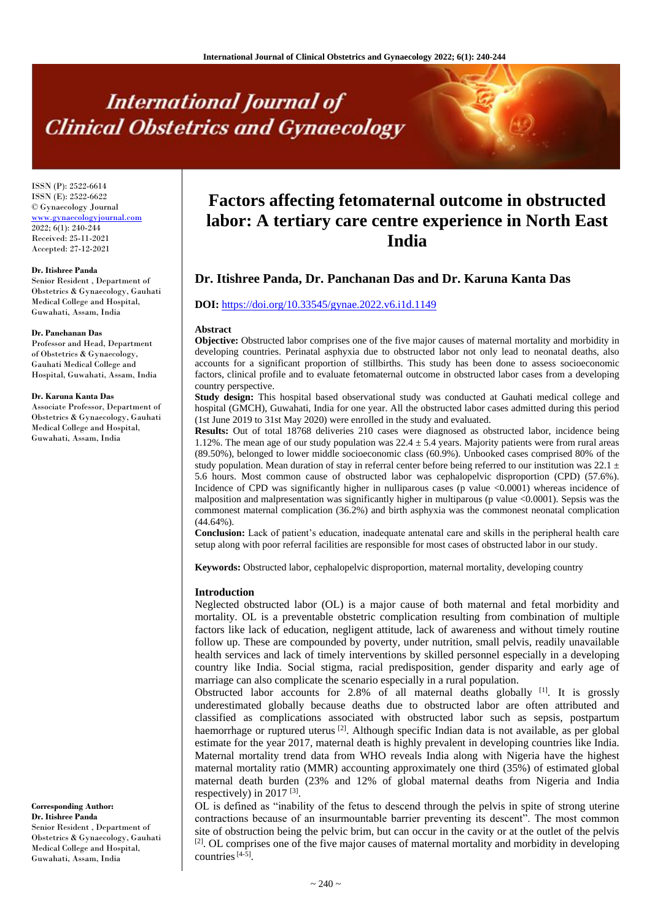# **International Journal of Clinical Obstetrics and Gynaecology**

ISSN (P): 2522-6614 ISSN (E): 2522-6622 © Gynaecology Journal <www.gynaecologyjournal.com> 2022; 6(1): 240-244 Received: 25-11-2021 Accepted: 27-12-2021

#### **Dr. Itishree Panda**

Senior Resident , Department of Obstetrics & Gynaecology, Gauhati Medical College and Hospital, Guwahati, Assam, India

#### **Dr. Panchanan Das**

Professor and Head, Department of Obstetrics & Gynaecology, Gauhati Medical College and Hospital, Guwahati, Assam, India

#### **Dr. Karuna Kanta Das**

Associate Professor, Department of Obstetrics & Gynaecology, Gauhati Medical College and Hospital, Guwahati, Assam, India

**Corresponding Author: Dr. Itishree Panda** Senior Resident , Department of Obstetrics & Gynaecology, Gauhati Medical College and Hospital, Guwahati, Assam, India

# **Factors affecting fetomaternal outcome in obstructed labor: A tertiary care centre experience in North East India**

# **Dr. Itishree Panda, Dr. Panchanan Das and Dr. Karuna Kanta Das**

#### **DOI:** <https://doi.org/10.33545/gynae.2022.v6.i1d.1149>

#### **Abstract**

**Objective:** Obstructed labor comprises one of the five major causes of maternal mortality and morbidity in developing countries. Perinatal asphyxia due to obstructed labor not only lead to neonatal deaths, also accounts for a significant proportion of stillbirths. This study has been done to assess socioeconomic factors, clinical profile and to evaluate fetomaternal outcome in obstructed labor cases from a developing country perspective.

**Study design:** This hospital based observational study was conducted at Gauhati medical college and hospital (GMCH), Guwahati, India for one year. All the obstructed labor cases admitted during this period (1st June 2019 to 31st May 2020) were enrolled in the study and evaluated.

**Results:** Out of total 18768 deliveries 210 cases were diagnosed as obstructed labor, incidence being 1.12%. The mean age of our study population was  $22.4 \pm 5.4$  years. Majority patients were from rural areas (89.50%), belonged to lower middle socioeconomic class (60.9%). Unbooked cases comprised 80% of the study population. Mean duration of stay in referral center before being referred to our institution was 22.1  $\pm$ 5.6 hours. Most common cause of obstructed labor was cephalopelvic disproportion (CPD) (57.6%). Incidence of CPD was significantly higher in nulliparous cases (p value <0.0001) whereas incidence of malposition and malpresentation was significantly higher in multiparous (p value <0.0001). Sepsis was the commonest maternal complication (36.2%) and birth asphyxia was the commonest neonatal complication (44.64%).

**Conclusion:** Lack of patient's education, inadequate antenatal care and skills in the peripheral health care setup along with poor referral facilities are responsible for most cases of obstructed labor in our study.

**Keywords:** Obstructed labor, cephalopelvic disproportion, maternal mortality, developing country

#### **Introduction**

Neglected obstructed labor (OL) is a major cause of both maternal and fetal morbidity and mortality. OL is a preventable obstetric complication resulting from combination of multiple factors like lack of education, negligent attitude, lack of awareness and without timely routine follow up. These are compounded by poverty, under nutrition, small pelvis, readily unavailable health services and lack of timely interventions by skilled personnel especially in a developing country like India. Social stigma, racial predisposition, gender disparity and early age of marriage can also complicate the scenario especially in a rural population.

Obstructed labor accounts for 2.8% of all maternal deaths globally  $\begin{bmatrix} 1 \end{bmatrix}$ . It is grossly underestimated globally because deaths due to obstructed labor are often attributed and classified as complications associated with obstructed labor such as sepsis, postpartum haemorrhage or ruptured uterus  $\left[2\right]$ . Although specific Indian data is not available, as per global estimate for the year 2017, maternal death is highly prevalent in developing countries like India. Maternal mortality trend data from WHO reveals India along with Nigeria have the highest maternal mortality ratio (MMR) accounting approximately one third (35%) of estimated global maternal death burden (23% and 12% of global maternal deaths from Nigeria and India respectively) in 2017<sup>[3]</sup>.

OL is defined as "inability of the fetus to descend through the pelvis in spite of strong uterine contractions because of an insurmountable barrier preventing its descent". The most common site of obstruction being the pelvic brim, but can occur in the cavity or at the outlet of the pelvis [2]. OL comprises one of the five major causes of maternal mortality and morbidity in developing countries  $[4-5]$ .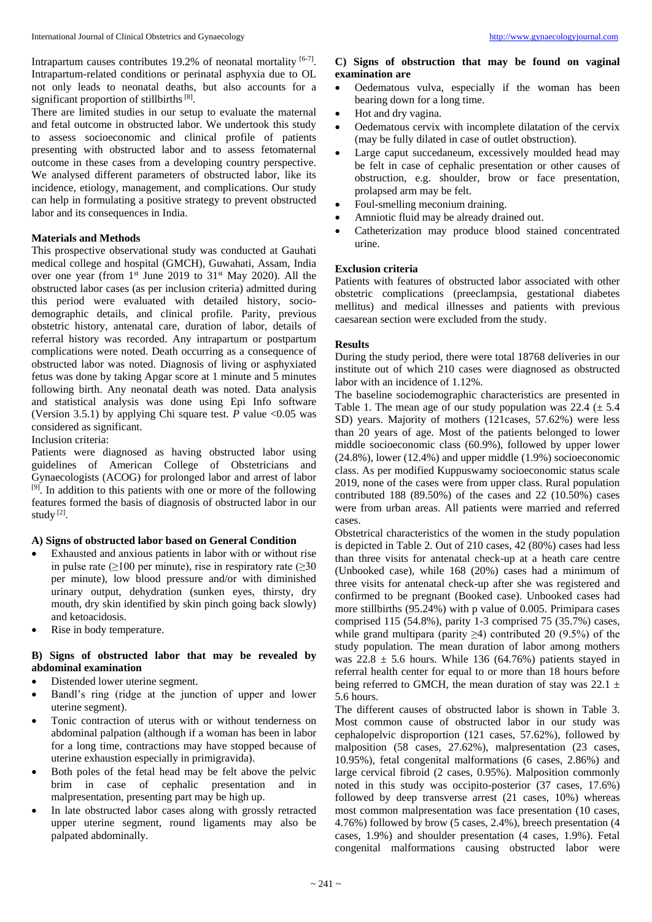There are limited studies in our setup to evaluate the maternal and fetal outcome in obstructed labor. We undertook this study to assess socioeconomic and clinical profile of patients presenting with obstructed labor and to assess fetomaternal outcome in these cases from a developing country perspective. We analysed different parameters of obstructed labor, like its incidence, etiology, management, and complications. Our study can help in formulating a positive strategy to prevent obstructed labor and its consequences in India.

## **Materials and Methods**

This prospective observational study was conducted at Gauhati medical college and hospital (GMCH), Guwahati, Assam, India over one year (from 1st June 2019 to 31st May 2020). All the obstructed labor cases (as per inclusion criteria) admitted during this period were evaluated with detailed history, sociodemographic details, and clinical profile. Parity, previous obstetric history, antenatal care, duration of labor, details of referral history was recorded. Any intrapartum or postpartum complications were noted. Death occurring as a consequence of obstructed labor was noted. Diagnosis of living or asphyxiated fetus was done by taking Apgar score at 1 minute and 5 minutes following birth. Any neonatal death was noted. Data analysis and statistical analysis was done using Epi Info software (Version 3.5.1) by applying Chi square test. *P* value  $\leq 0.05$  was considered as significant.

Inclusion criteria:

Patients were diagnosed as having obstructed labor using guidelines of American College of Obstetricians and Gynaecologists (ACOG) for prolonged labor and arrest of labor [9]. In addition to this patients with one or more of the following features formed the basis of diagnosis of obstructed labor in our study<sup>[2]</sup>.

#### **A) Signs of obstructed labor based on General Condition**

- Exhausted and anxious patients in labor with or without rise in pulse rate ( $\geq$ 100 per minute), rise in respiratory rate ( $\geq$ 30 per minute), low blood pressure and/or with diminished urinary output, dehydration (sunken eyes, thirsty, dry mouth, dry skin identified by skin pinch going back slowly) and ketoacidosis.
- Rise in body temperature.

# **B) Signs of obstructed labor that may be revealed by abdominal examination**

- Distended lower uterine segment.
- Bandl's ring (ridge at the junction of upper and lower uterine segment).
- Tonic contraction of uterus with or without tenderness on abdominal palpation (although if a woman has been in labor for a long time, contractions may have stopped because of uterine exhaustion especially in primigravida).
- Both poles of the fetal head may be felt above the pelvic brim in case of cephalic presentation and in malpresentation, presenting part may be high up.
- In late obstructed labor cases along with grossly retracted upper uterine segment, round ligaments may also be palpated abdominally.

# **C) Signs of obstruction that may be found on vaginal examination are**

- Oedematous vulva, especially if the woman has been bearing down for a long time.
- Hot and dry vagina.
- Oedematous cervix with incomplete dilatation of the cervix (may be fully dilated in case of outlet obstruction).
- Large caput succedaneum, excessively moulded head may be felt in case of cephalic presentation or other causes of obstruction, e.g. shoulder, brow or face presentation, prolapsed arm may be felt.
- Foul-smelling meconium draining.
- Amniotic fluid may be already drained out.
- Catheterization may produce blood stained concentrated urine.

# **Exclusion criteria**

Patients with features of obstructed labor associated with other obstetric complications (preeclampsia, gestational diabetes mellitus) and medical illnesses and patients with previous caesarean section were excluded from the study.

## **Results**

During the study period, there were total 18768 deliveries in our institute out of which 210 cases were diagnosed as obstructed labor with an incidence of 1.12%.

The baseline sociodemographic characteristics are presented in Table 1. The mean age of our study population was  $22.4 \ (\pm 5.4)$ SD) years. Majority of mothers (121cases, 57.62%) were less than 20 years of age. Most of the patients belonged to lower middle socioeconomic class (60.9%), followed by upper lower (24.8%), lower (12.4%) and upper middle (1.9%) socioeconomic class. As per modified Kuppuswamy socioeconomic status scale 2019, none of the cases were from upper class. Rural population contributed 188 (89.50%) of the cases and 22 (10.50%) cases were from urban areas. All patients were married and referred cases.

Obstetrical characteristics of the women in the study population is depicted in Table 2. Out of 210 cases, 42 (80%) cases had less than three visits for antenatal check-up at a heath care centre (Unbooked case), while 168 (20%) cases had a minimum of three visits for antenatal check-up after she was registered and confirmed to be pregnant (Booked case). Unbooked cases had more stillbirths (95.24%) with p value of 0.005. Primipara cases comprised 115 (54.8%), parity 1-3 comprised 75 (35.7%) cases, while grand multipara (parity ≥4) contributed 20 (9.5%) of the study population. The mean duration of labor among mothers was  $22.8 \pm 5.6$  hours. While 136 (64.76%) patients stayed in referral health center for equal to or more than 18 hours before being referred to GMCH, the mean duration of stay was 22.1  $\pm$ 5.6 hours.

The different causes of obstructed labor is shown in Table 3. Most common cause of obstructed labor in our study was cephalopelvic disproportion (121 cases, 57.62%), followed by malposition (58 cases, 27.62%), malpresentation (23 cases, 10.95%), fetal congenital malformations (6 cases, 2.86%) and large cervical fibroid (2 cases, 0.95%). Malposition commonly noted in this study was occipito-posterior (37 cases, 17.6%) followed by deep transverse arrest (21 cases, 10%) whereas most common malpresentation was face presentation (10 cases, 4.76%) followed by brow (5 cases, 2.4%), breech presentation (4 cases, 1.9%) and shoulder presentation (4 cases, 1.9%). Fetal congenital malformations causing obstructed labor were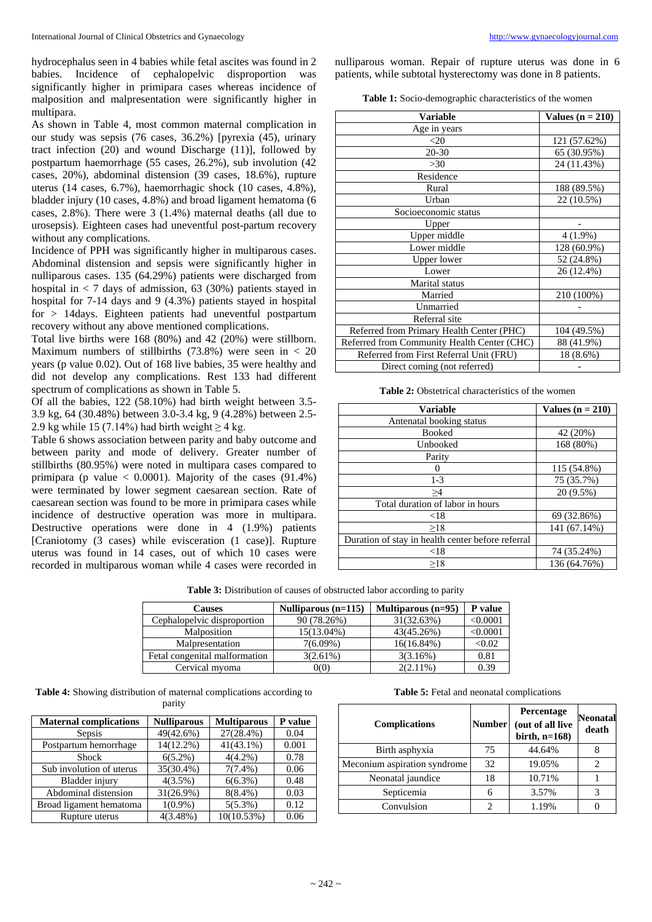hydrocephalus seen in 4 babies while fetal ascites was found in 2 babies. Incidence of cephalopelvic disproportion was significantly higher in primipara cases whereas incidence of malposition and malpresentation were significantly higher in multipara.

As shown in Table 4, most common maternal complication in our study was sepsis (76 cases, 36.2%) [pyrexia (45), urinary tract infection (20) and wound Discharge (11)], followed by postpartum haemorrhage (55 cases, 26.2%), sub involution (42 cases, 20%), abdominal distension (39 cases, 18.6%), rupture uterus (14 cases, 6.7%), haemorrhagic shock (10 cases, 4.8%), bladder injury (10 cases, 4.8%) and broad ligament hematoma (6 cases, 2.8%). There were 3 (1.4%) maternal deaths (all due to urosepsis). Eighteen cases had uneventful post-partum recovery without any complications.

Incidence of PPH was significantly higher in multiparous cases. Abdominal distension and sepsis were significantly higher in nulliparous cases. 135 (64.29%) patients were discharged from hospital in  $\lt$  7 days of admission, 63 (30%) patients stayed in hospital for 7-14 days and 9 (4.3%) patients stayed in hospital for > 14days. Eighteen patients had uneventful postpartum recovery without any above mentioned complications.

Total live births were 168 (80%) and 42 (20%) were stillborn. Maximum numbers of stillbirths  $(73.8%)$  were seen in < 20 years (p value 0.02). Out of 168 live babies, 35 were healthy and did not develop any complications. Rest 133 had different spectrum of complications as shown in Table 5.

Of all the babies, 122 (58.10%) had birth weight between 3.5- 3.9 kg, 64 (30.48%) between 3.0-3.4 kg, 9 (4.28%) between 2.5- 2.9 kg while 15 (7.14%) had birth weight  $\geq$  4 kg.

Table 6 shows association between parity and baby outcome and between parity and mode of delivery. Greater number of stillbirths (80.95%) were noted in multipara cases compared to primipara (p value  $\langle 0.0001 \rangle$ . Majority of the cases (91.4%) were terminated by lower segment caesarean section. Rate of caesarean section was found to be more in primipara cases while incidence of destructive operation was more in multipara. Destructive operations were done in 4 (1.9%) patients [Craniotomy (3 cases) while evisceration (1 case)]. Rupture uterus was found in 14 cases, out of which 10 cases were recorded in multiparous woman while 4 cases were recorded in nulliparous woman. Repair of rupture uterus was done in 6 patients, while subtotal hysterectomy was done in 8 patients.

| <b>Table 1:</b> Socio-demographic characteristics of the women |  |
|----------------------------------------------------------------|--|
|----------------------------------------------------------------|--|

| Variable                                    | Values $(n = 210)$ |
|---------------------------------------------|--------------------|
| Age in years                                |                    |
| <20                                         | 121 (57.62%)       |
| $20 - 30$                                   | 65 (30.95%)        |
| >30                                         | 24 (11.43%)        |
| Residence                                   |                    |
| Rural                                       | 188 (89.5%)        |
| Urban                                       | 22 (10.5%)         |
| Socioeconomic status                        |                    |
| Upper                                       |                    |
| Upper middle                                | $4(1.9\%)$         |
| Lower middle                                | 128 (60.9%)        |
| Upper lower                                 | 52 (24.8%)         |
| Lower                                       | 26 (12.4%)         |
| Marital status                              |                    |
| Married                                     | 210 (100%)         |
| Unmarried                                   |                    |
| Referral site                               |                    |
| Referred from Primary Health Center (PHC)   | 104 (49.5%)        |
| Referred from Community Health Center (CHC) | 88 (41.9%)         |
| Referred from First Referral Unit (FRU)     | 18 (8.6%)          |
| Direct coming (not referred)                |                    |

**Table 2:** Obstetrical characteristics of the women

| <b>Variable</b>                                   | Values $(n = 210)$ |
|---------------------------------------------------|--------------------|
| Antenatal booking status                          |                    |
| <b>Booked</b>                                     | 42 (20%)           |
| Unbooked                                          | 168 (80%)          |
| Parity                                            |                    |
|                                                   | 115 (54.8%)        |
| $1-3$                                             | 75 (35.7%)         |
| >4                                                | 20 (9.5%)          |
| Total duration of labor in hours                  |                    |
| < 18                                              | 69 (32.86%)        |
| >18                                               | 141 (67.14%)       |
| Duration of stay in health center before referral |                    |
| < 18                                              | 74 (35.24%)        |
| >18                                               | 136 (64.76%)       |

| Table 3: Distribution of causes of obstructed labor according to parity |  |  |  |  |
|-------------------------------------------------------------------------|--|--|--|--|
|-------------------------------------------------------------------------|--|--|--|--|

| Causes                        | Nulliparous $(n=115)$ | Multiparous $(n=95)$ | P value  |
|-------------------------------|-----------------------|----------------------|----------|
| Cephalopelvic disproportion   | 90 (78.26%)           | 31(32.63%)           | < 0.0001 |
| Malposition                   | 15(13.04%)            | 43(45.26%)           | < 0.0001 |
| Malpresentation               | $7(6.09\%)$           | $16(16.84\%)$        | < 0.02   |
| Fetal congenital malformation | $3(2.61\%)$           | 3(3.16%)             | 0.81     |
| Cervical myoma                | 0(0)                  | $2(2.11\%)$          | 0.39     |

**Table 4:** Showing distribution of maternal complications according to parity

| <b>Maternal complications</b> | <b>Nulliparous</b> | <b>Multiparous</b> | P value |
|-------------------------------|--------------------|--------------------|---------|
| Sepsis                        | 49(42.6%)          | 27(28.4%)          | 0.04    |
| Postpartum hemorrhage         | 14(12.2%)          | $41(43.1\%)$       | 0.001   |
| Shock                         | $6(5.2\%)$         | $4(4.2\%)$         | 0.78    |
| Sub involution of uterus      | 35(30.4%)          | $7(7.4\%)$         | 0.06    |
| Bladder injury                | $4(3.5\%)$         | $6(6.3\%)$         | 0.48    |
| Abdominal distension          | 31(26.9%)          | $8(8.4\%)$         | 0.03    |
| Broad ligament hematoma       | $1(0.9\%)$         | $5(5.3\%)$         | 0.12    |
| Rupture uterus                | $4(3.48\%)$        | 10(10.53%)         | 0.06    |

**Table 5:** Fetal and neonatal complications

| <b>Complications</b>         | <b>Number</b> | Percentage<br>(out of all live<br>birth, $n=168$ ) | <b>Neonatal</b><br>death |
|------------------------------|---------------|----------------------------------------------------|--------------------------|
| Birth asphyxia               | 75            | 44.64%                                             |                          |
| Meconium aspiration syndrome | 32            | 19.05%                                             |                          |
| Neonatal jaundice            | 18            | 10.71%                                             |                          |
| Septicemia                   | 6             | 3.57%                                              |                          |
| Convulsion                   |               | 1.19%                                              |                          |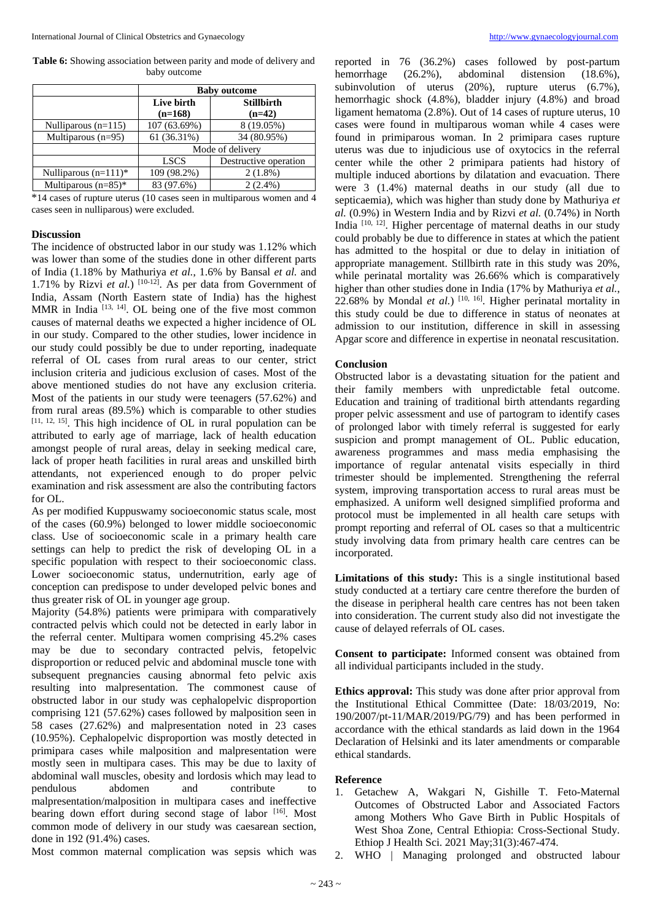**Table 6:** Showing association between parity and mode of delivery and baby outcome

|                         | <b>Baby outcome</b>     |                               |  |
|-------------------------|-------------------------|-------------------------------|--|
|                         | Live birth<br>$(n=168)$ | <b>Stillbirth</b><br>$(n=42)$ |  |
| Nulliparous $(n=115)$   | 107 (63.69%)            | 8 (19.05%)                    |  |
| Multiparous $(n=95)$    | 61 (36.31%)             | 34 (80.95%)                   |  |
|                         | Mode of delivery        |                               |  |
|                         | <b>LSCS</b>             | Destructive operation         |  |
| Nulliparous $(n=111)^*$ | 109 (98.2%)             | $2(1.8\%)$                    |  |
| Multiparous $(n=85)$ *  | 83 (97.6%)              | $2(2.4\%)$                    |  |

 $*14$  cases of rupture uterus (10 cases seen in multiparous women and 4 cases seen in nulliparous) were excluded.

# **Discussion**

The incidence of obstructed labor in our study was 1.12% which was lower than some of the studies done in other different parts of India (1.18% by Mathuriya *et al.*, 1.6% by Bansal *et al.* and 1.71% by Rizvi *et al.*)  $[10-12]$ . As per data from Government of India, Assam (North Eastern state of India) has the highest MMR in India  $[13, 14]$ . OL being one of the five most common causes of maternal deaths we expected a higher incidence of OL in our study. Compared to the other studies, lower incidence in our study could possibly be due to under reporting, inadequate referral of OL cases from rural areas to our center, strict inclusion criteria and judicious exclusion of cases. Most of the above mentioned studies do not have any exclusion criteria. Most of the patients in our study were teenagers (57.62%) and from rural areas (89.5%) which is comparable to other studies  $[11, 12, 15]$ . This high incidence of OL in rural population can be attributed to early age of marriage, lack of health education amongst people of rural areas, delay in seeking medical care, lack of proper heath facilities in rural areas and unskilled birth attendants, not experienced enough to do proper pelvic examination and risk assessment are also the contributing factors for OL.

As per modified Kuppuswamy socioeconomic status scale, most of the cases (60.9%) belonged to lower middle socioeconomic class. Use of socioeconomic scale in a primary health care settings can help to predict the risk of developing OL in a specific population with respect to their socioeconomic class. Lower socioeconomic status, undernutrition, early age of conception can predispose to under developed pelvic bones and thus greater risk of OL in younger age group.

Majority (54.8%) patients were primipara with comparatively contracted pelvis which could not be detected in early labor in the referral center. Multipara women comprising 45.2% cases may be due to secondary contracted pelvis, fetopelvic disproportion or reduced pelvic and abdominal muscle tone with subsequent pregnancies causing abnormal feto pelvic axis resulting into malpresentation. The commonest cause of obstructed labor in our study was cephalopelvic disproportion comprising 121 (57.62%) cases followed by malposition seen in 58 cases (27.62%) and malpresentation noted in 23 cases (10.95%). Cephalopelvic disproportion was mostly detected in primipara cases while malposition and malpresentation were mostly seen in multipara cases. This may be due to laxity of abdominal wall muscles, obesity and lordosis which may lead to pendulous abdomen and contribute to malpresentation/malposition in multipara cases and ineffective bearing down effort during second stage of labor [16]. Most common mode of delivery in our study was caesarean section, done in 192 (91.4%) cases.

Most common maternal complication was sepsis which was

reported in 76 (36.2%) cases followed by post-partum hemorrhage (26.2%), abdominal distension (18.6%), subinvolution of uterus (20%), rupture uterus (6.7%), hemorrhagic shock (4.8%), bladder injury (4.8%) and broad ligament hematoma (2.8%). Out of 14 cases of rupture uterus, 10 cases were found in multiparous woman while 4 cases were found in primiparous woman. In 2 primipara cases rupture uterus was due to injudicious use of oxytocics in the referral center while the other 2 primipara patients had history of multiple induced abortions by dilatation and evacuation. There were 3 (1.4%) maternal deaths in our study (all due to septicaemia), which was higher than study done by Mathuriya *et al.* (0.9%) in Western India and by Rizvi *et al.* (0.74%) in North India  $[10, 12]$ . Higher percentage of maternal deaths in our study could probably be due to difference in states at which the patient has admitted to the hospital or due to delay in initiation of appropriate management. Stillbirth rate in this study was 20%, while perinatal mortality was 26.66% which is comparatively higher than other studies done in India (17% by Mathuriya *et al.*, 22.68% by Mondal *et al.*)  $[10, 16]$ . Higher perinatal mortality in this study could be due to difference in status of neonates at admission to our institution, difference in skill in assessing Apgar score and difference in expertise in neonatal rescusitation.

#### **Conclusion**

Obstructed labor is a devastating situation for the patient and their family members with unpredictable fetal outcome. Education and training of traditional birth attendants regarding proper pelvic assessment and use of partogram to identify cases of prolonged labor with timely referral is suggested for early suspicion and prompt management of OL. Public education, awareness programmes and mass media emphasising the importance of regular antenatal visits especially in third trimester should be implemented. Strengthening the referral system, improving transportation access to rural areas must be emphasized. A uniform well designed simplified proforma and protocol must be implemented in all health care setups with prompt reporting and referral of OL cases so that a multicentric study involving data from primary health care centres can be incorporated.

**Limitations of this study:** This is a single institutional based study conducted at a tertiary care centre therefore the burden of the disease in peripheral health care centres has not been taken into consideration. The current study also did not investigate the cause of delayed referrals of OL cases.

**Consent to participate:** Informed consent was obtained from all individual participants included in the study.

**Ethics approval:** This study was done after prior approval from the Institutional Ethical Committee (Date: 18/03/2019, No: 190/2007/pt-11/MAR/2019/PG/79) and has been performed in accordance with the ethical standards as laid down in the 1964 Declaration of Helsinki and its later amendments or comparable ethical standards.

#### **Reference**

- 1. Getachew A, Wakgari N, Gishille T. Feto-Maternal Outcomes of Obstructed Labor and Associated Factors among Mothers Who Gave Birth in Public Hospitals of West Shoa Zone, Central Ethiopia: Cross-Sectional Study. Ethiop J Health Sci. 2021 May;31(3):467-474.
- 2. WHO | Managing prolonged and obstructed labour